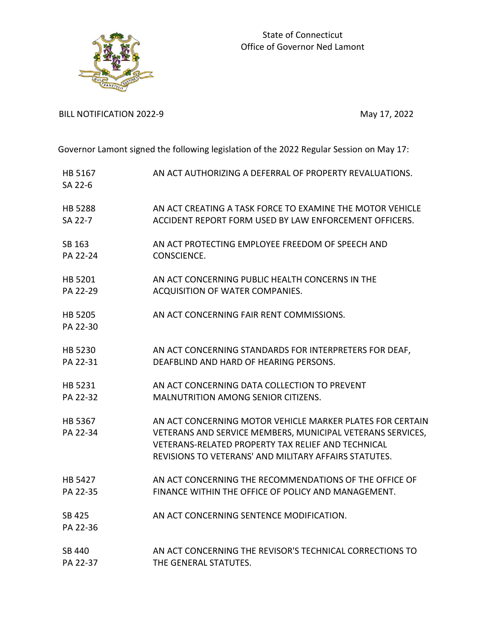

BILL NOTIFICATION 2022-9 May 17, 2022

Governor Lamont signed the following legislation of the 2022 Regular Session on May 17:

| HB 5167<br>SA 22-6  | AN ACT AUTHORIZING A DEFERRAL OF PROPERTY REVALUATIONS.                                                                                                                                                                                       |
|---------------------|-----------------------------------------------------------------------------------------------------------------------------------------------------------------------------------------------------------------------------------------------|
| <b>HB 5288</b>      | AN ACT CREATING A TASK FORCE TO EXAMINE THE MOTOR VEHICLE                                                                                                                                                                                     |
| SA 22-7             | ACCIDENT REPORT FORM USED BY LAW ENFORCEMENT OFFICERS.                                                                                                                                                                                        |
| SB 163              | AN ACT PROTECTING EMPLOYEE FREEDOM OF SPEECH AND                                                                                                                                                                                              |
| PA 22-24            | CONSCIENCE.                                                                                                                                                                                                                                   |
| HB 5201             | AN ACT CONCERNING PUBLIC HEALTH CONCERNS IN THE                                                                                                                                                                                               |
| PA 22-29            | ACQUISITION OF WATER COMPANIES.                                                                                                                                                                                                               |
| HB 5205<br>PA 22-30 | AN ACT CONCERNING FAIR RENT COMMISSIONS.                                                                                                                                                                                                      |
| HB 5230             | AN ACT CONCERNING STANDARDS FOR INTERPRETERS FOR DEAF,                                                                                                                                                                                        |
| PA 22-31            | DEAFBLIND AND HARD OF HEARING PERSONS.                                                                                                                                                                                                        |
| HB 5231             | AN ACT CONCERNING DATA COLLECTION TO PREVENT                                                                                                                                                                                                  |
| PA 22-32            | <b>MALNUTRITION AMONG SENIOR CITIZENS.</b>                                                                                                                                                                                                    |
| HB 5367<br>PA 22-34 | AN ACT CONCERNING MOTOR VEHICLE MARKER PLATES FOR CERTAIN<br>VETERANS AND SERVICE MEMBERS, MUNICIPAL VETERANS SERVICES,<br><b>VETERANS-RELATED PROPERTY TAX RELIEF AND TECHNICAL</b><br>REVISIONS TO VETERANS' AND MILITARY AFFAIRS STATUTES. |
| HB 5427             | AN ACT CONCERNING THE RECOMMENDATIONS OF THE OFFICE OF                                                                                                                                                                                        |
| PA 22-35            | FINANCE WITHIN THE OFFICE OF POLICY AND MANAGEMENT.                                                                                                                                                                                           |
| SB 425<br>PA 22-36  | AN ACT CONCERNING SENTENCE MODIFICATION.                                                                                                                                                                                                      |
| SB 440              | AN ACT CONCERNING THE REVISOR'S TECHNICAL CORRECTIONS TO                                                                                                                                                                                      |
| PA 22-37            | THE GENERAL STATUTES.                                                                                                                                                                                                                         |